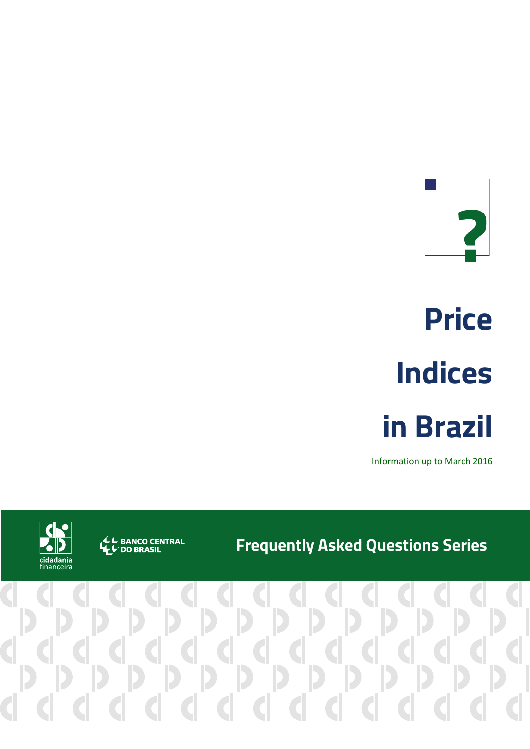

# **Price Indices in Brazil**

Information up to March 2016

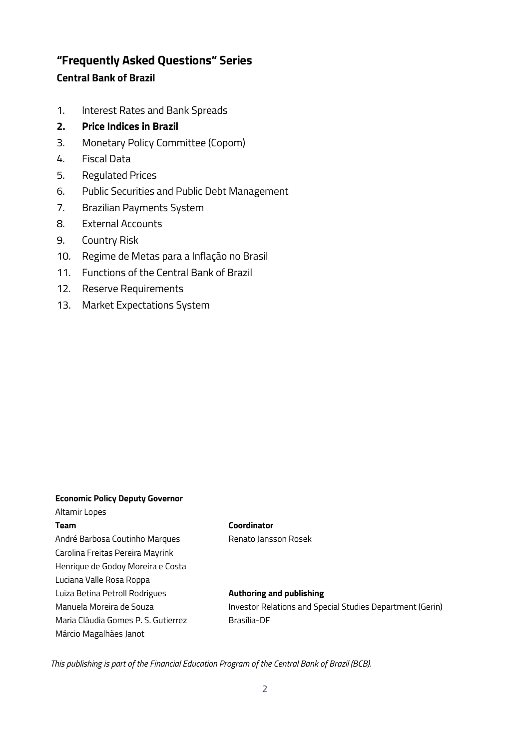# **"Frequently Asked Questions" Series Central Bank of Brazil**

- 1. Interest Rates and Bank Spreads
- **2. Price Indices in Brazil**
- 3. Monetary Policy Committee (Copom)
- 4. Fiscal Data
- 5. Regulated Prices
- 6. Public Securities and Public Debt Management
- 7. Brazilian Payments System
- 8. External Accounts
- 9. Country Risk
- 10. Regime de Metas para a Inflação no Brasil
- 11. Functions of the Central Bank of Brazil
- 12. Reserve Requirements
- 13. Market Expectations System

#### **Economic Policy Deputy Governor**

#### Altamir Lopes **Team**

André Barbosa Coutinho Marques Carolina Freitas Pereira Mayrink Henrique de Godoy Moreira e Costa Luciana Valle Rosa Roppa Luiza Betina Petroll Rodrigues Manuela Moreira de Souza Maria Cláudia Gomes P. S. Gutierrez Márcio Magalhães Janot

#### **Coordinator**

Renato Jansson Rosek

#### **Authoring and publishing**

Investor Relations and Special Studies Department (Gerin) Brasília-DF

*This publishing is part of the Financial Education Program of the Central Bank of Brazil (BCB).*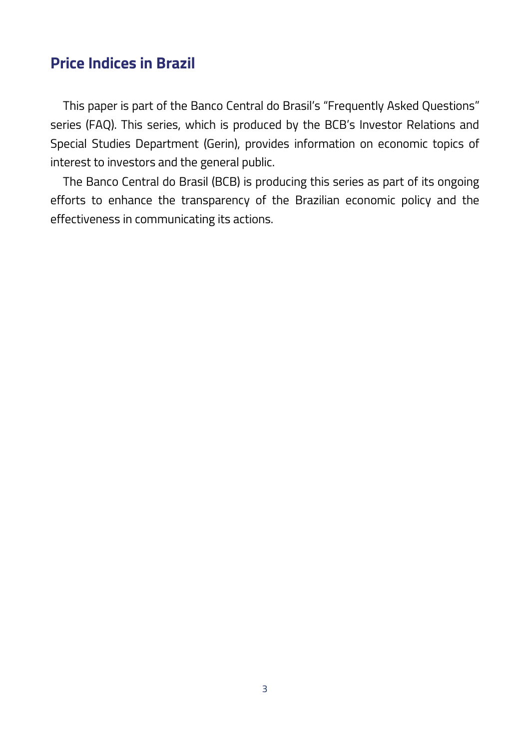# **Price Indices in Brazil**

This paper is part of the Banco Central do Brasil's "Frequently Asked Questions" series (FAQ). This series, which is produced by the BCB's Investor Relations and Special Studies Department (Gerin), provides information on economic topics of interest to investors and the general public.

The Banco Central do Brasil (BCB) is producing this series as part of its ongoing efforts to enhance the transparency of the Brazilian economic policy and the effectiveness in communicating its actions.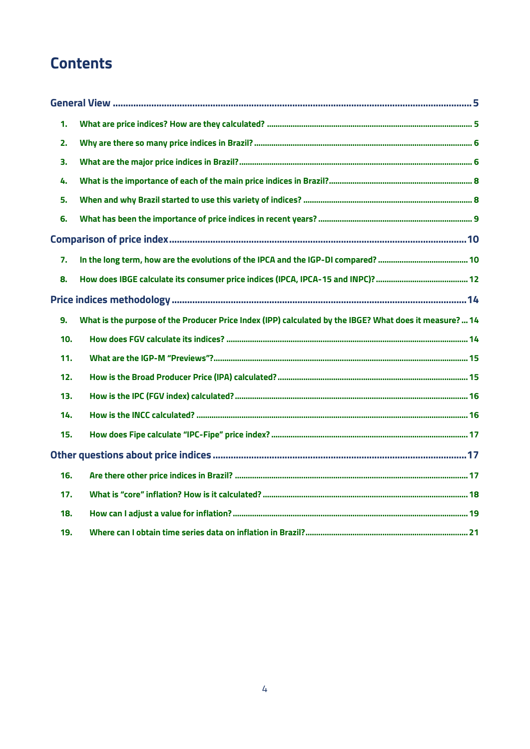# **Contents**

| 1.             |                                                                                                         |
|----------------|---------------------------------------------------------------------------------------------------------|
| 2.             |                                                                                                         |
| 3.             |                                                                                                         |
| 4.             |                                                                                                         |
| 5.             |                                                                                                         |
| 6.             |                                                                                                         |
|                |                                                                                                         |
| 7.             |                                                                                                         |
| 8.             |                                                                                                         |
|                |                                                                                                         |
| 9 <sub>1</sub> | What is the purpose of the Producer Price Index (IPP) calculated by the IBGE? What does it measure?  14 |
| 10.            |                                                                                                         |
| 11.            |                                                                                                         |
| 12.            |                                                                                                         |
| 13.            |                                                                                                         |
| 14.            |                                                                                                         |
| 15.            |                                                                                                         |
|                |                                                                                                         |
| 16.            |                                                                                                         |
| 17.            |                                                                                                         |
| 18.            |                                                                                                         |
| 19.            |                                                                                                         |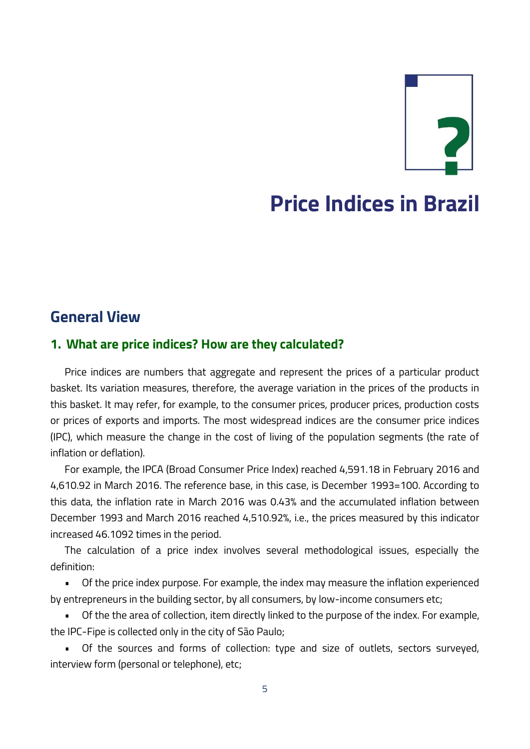# **Price Indices in Brazil**

# **General View**

# **1. What are price indices? How are they calculated?**

Price indices are numbers that aggregate and represent the prices of a particular product basket. Its variation measures, therefore, the average variation in the prices of the products in this basket. It may refer, for example, to the consumer prices, producer prices, production costs or prices of exports and imports. The most widespread indices are the consumer price indices (IPC), which measure the change in the cost of living of the population segments (the rate of inflation or deflation).

For example, the IPCA (Broad Consumer Price Index) reached 4,591.18 in February 2016 and 4,610.92 in March 2016. The reference base, in this case, is December 1993=100. According to this data, the inflation rate in March 2016 was 0.43% and the accumulated inflation between December 1993 and March 2016 reached 4,510.92%, i.e., the prices measured by this indicator increased 46.1092 times in the period.

The calculation of a price index involves several methodological issues, especially the definition:

• Of the price index purpose. For example, the index may measure the inflation experienced by entrepreneurs in the building sector, by all consumers, by low-income consumers etc;

• Of the the area of collection, item directly linked to the purpose of the index. For example, the IPC-Fipe is collected only in the city of São Paulo;

• Of the sources and forms of collection: type and size of outlets, sectors surveyed, interview form (personal or telephone), etc;

5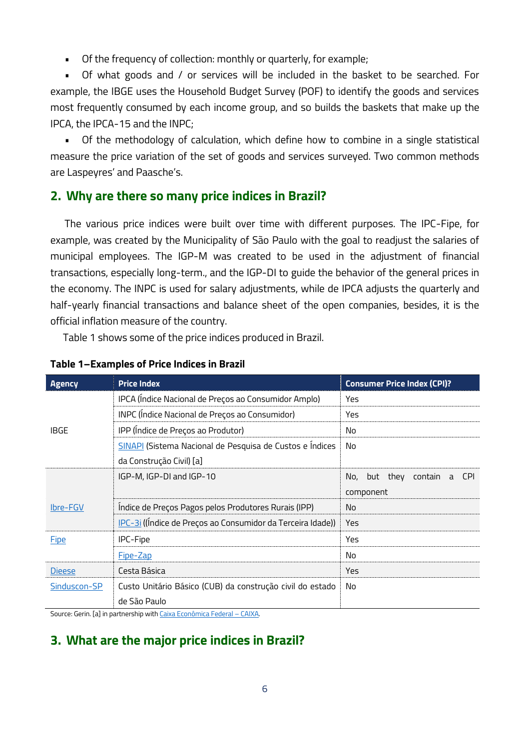• Of the frequency of collection: monthly or quarterly, for example;

• Of what goods and / or services will be included in the basket to be searched. For example, the IBGE uses the Household Budget Survey (POF) to identify the goods and services most frequently consumed by each income group, and so builds the baskets that make up the IPCA, the IPCA-15 and the INPC;

• Of the methodology of calculation, which define how to combine in a single statistical measure the price variation of the set of goods and services surveyed. Two common methods are Laspeyres' and Paasche's.

# <span id="page-5-2"></span>**2. Why are there so many price indices in Brazil?**

The various price indices were built over time with different purposes. The IPC-Fipe, for example, was created by the Municipality of São Paulo with the goal to readjust the salaries of municipal employees. The IGP-M was created to be used in the adjustment of financial transactions, especially long-term., and the IGP-DI to guide the behavior of the general prices in the economy. The INPC is used for salary adjustments, while de IPCA adjusts the quarterly and half-yearly financial transactions and balance sheet of the open companies, besides, it is the official inflation measure of the country.

[Table 1](#page-5-0) shows some of the price indices produced in Brazil.

| <b>Agency</b>                                                    | <b>Price Index</b>                                          | <b>Consumer Price Index (CPI)?</b>         |
|------------------------------------------------------------------|-------------------------------------------------------------|--------------------------------------------|
|                                                                  | IPCA (Indice Nacional de Preços ao Consumidor Amplo)        | Yes                                        |
|                                                                  | INPC (Indice Nacional de Preços ao Consumidor)              | Yes                                        |
| <b>IBGE</b>                                                      | IPP (Indice de Preços ao Produtor)                          | No                                         |
|                                                                  | SINAPI (Sistema Nacional de Pesquisa de Custos e Índices    | No                                         |
|                                                                  | da Construção Civil) [a]                                    |                                            |
|                                                                  | IGP-M, IGP-DI and IGP-10                                    | but they contain<br><b>CPI</b><br>No,<br>a |
|                                                                  |                                                             | component                                  |
| Indice de Preços Pagos pelos Produtores Rurais (IPP)<br>Ibre-FGV |                                                             | No.                                        |
|                                                                  | IPC-3i ((Índice de Preços ao Consumidor da Terceira Idade)) | Yes                                        |
| <b>Eipe</b>                                                      | IPC-Fipe                                                    | Yes                                        |
|                                                                  | Fipe-Zap                                                    | No                                         |
| <b>Dieese</b>                                                    | Cesta Básica                                                | Yes                                        |
| Sinduscon-SP                                                     | Custo Unitário Básico (CUB) da construção civil do estado   | No                                         |
|                                                                  | de São Paulo                                                |                                            |

#### <span id="page-5-0"></span>**Table 1–Examples of Price Indices in Brazil**

Source: Gerin. [a] in partnership wit[h Caixa Econômica Federal](http://www.caixa.gov.br/site/english/Paginas/default.aspx) – CAIXA.

# <span id="page-5-1"></span>**3. What are the major price indices in Brazil?**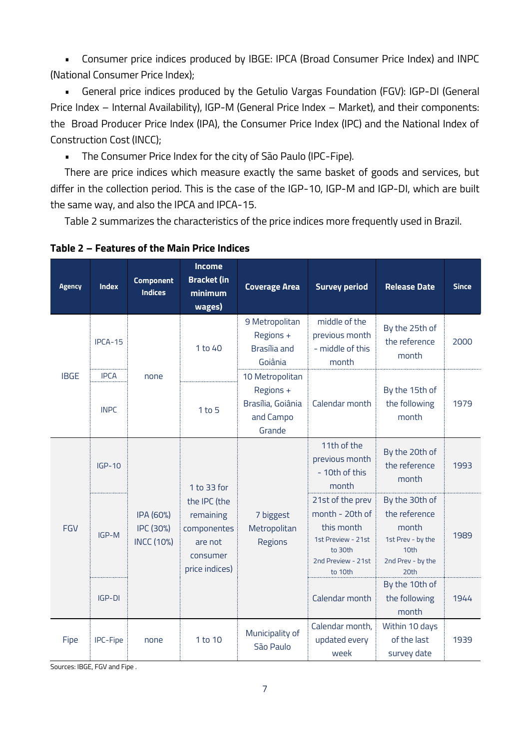• Consumer price indices produced by IBGE: IPCA (Broad Consumer Price Index) and INPC (National Consumer Price Index);

• General price indices produced by the Getulio Vargas Foundation (FGV): IGP-DI (General Price Index – Internal Availability), IGP-M (General Price Index – Market), and their components: the Broad Producer Price Index (IPA), the Consumer Price Index (IPC) and the National Index of Construction Cost (INCC);

• The Consumer Price Index for the city of São Paulo (IPC-Fipe).

There are price indices which measure exactly the same basket of goods and services, but differ in the collection period. This is the case of the IGP-10, IGP-M and IGP-DI, which are built the same way, and also the IPCA and IPCA-15.

[Table 2](#page-6-0) summarizes the characteristics of the price indices more frequently used in Brazil.

| <b>Agency</b> | <b>Index</b>               | <b>Component</b><br><b>Indices</b>                                                                                                              | <b>Income</b><br><b>Bracket (in</b><br>minimum<br>wages) | <b>Coverage Area</b>                                                                                                | <b>Survey period</b>                                                                               | <b>Release Date</b>                          | <b>Since</b> |
|---------------|----------------------------|-------------------------------------------------------------------------------------------------------------------------------------------------|----------------------------------------------------------|---------------------------------------------------------------------------------------------------------------------|----------------------------------------------------------------------------------------------------|----------------------------------------------|--------------|
| <b>IBGE</b>   | IPCA-15                    |                                                                                                                                                 | 1 to 40                                                  | 9 Metropolitan<br>Regions +<br>Brasília and<br>Goiânia                                                              | middle of the<br>previous month<br>- middle of this<br>month                                       | By the 25th of<br>the reference<br>month     | 2000         |
|               | <b>IPCA</b><br><b>INPC</b> | none                                                                                                                                            | $1$ to $5$                                               | 10 Metropolitan<br>Regions +<br>Brasília, Goiânia<br>and Campo<br>Grande                                            | Calendar month                                                                                     | By the 15th of<br>the following<br>month     | 1979         |
| FGV           | $IGP-10$                   | 1 to 33 for<br>the IPC (the<br>IPA (60%)<br>remaining<br>IPC (30%)<br>componentes<br><b>INCC (10%)</b><br>are not<br>consumer<br>price indices) |                                                          |                                                                                                                     | 11th of the<br>previous month<br>- 10th of this<br>month                                           | By the 20th of<br>the reference<br>month     | 1993         |
|               | IGP-M                      |                                                                                                                                                 | 7 biggest<br>Metropolitan<br>Regions                     | 21st of the prev<br>month - 20th of<br>this month<br>1st Preview - 21st<br>to 30th<br>2nd Preview - 21st<br>to 10th | By the 30th of<br>the reference<br>month<br>1st Prev - by the<br>10th<br>2nd Prev - by the<br>20th | 1989                                         |              |
|               | $IGP-DI$                   |                                                                                                                                                 | Calendar month                                           | By the 10th of<br>the following<br>month                                                                            | 1944                                                                                               |                                              |              |
| Fipe          | IPC-Fipe                   | none                                                                                                                                            | 1 to 10                                                  | Municipality of<br>São Paulo                                                                                        | Calendar month,<br>updated every<br>week                                                           | Within 10 days<br>of the last<br>survey date | 1939         |

<span id="page-6-0"></span>**Table 2 – Features of the Main Price Indices**

Sources: IBGE, FGV and Fipe .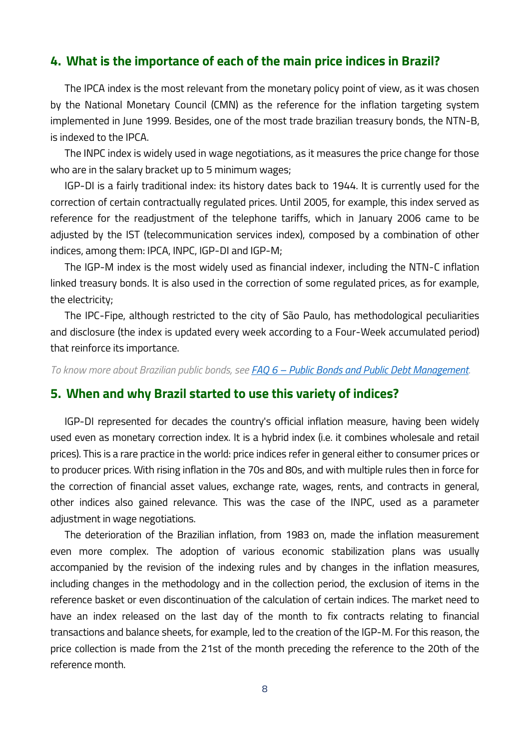# **4. What is the importance of each of the main price indices in Brazil?**

The IPCA index is the most relevant from the monetary policy point of view, as it was chosen by the National Monetary Council (CMN) as the reference for the inflation targeting system implemented in June 1999. Besides, one of the most trade brazilian treasury bonds, the NTN-B, is indexed to the IPCA.

The INPC index is widely used in wage negotiations, as it measures the price change for those who are in the salary bracket up to 5 minimum wages;

IGP-DI is a fairly traditional index: its history dates back to 1944. It is currently used for the correction of certain contractually regulated prices. Until 2005, for example, this index served as reference for the readjustment of the telephone tariffs, which in January 2006 came to be adjusted by the IST (telecommunication services index), composed by a combination of other indices, among them: IPCA, INPC, IGP-DI and IGP-M;

The IGP-M index is the most widely used as financial indexer, including the NTN-C inflation linked treasury bonds. It is also used in the correction of some regulated prices, as for example, the electricity;

The IPC-Fipe, although restricted to the city of São Paulo, has methodological peculiarities and disclosure (the index is updated every week according to a Four-Week accumulated period) that reinforce its importance.

*To know more about Brazilian public bonds, see FAQ 6 – [Public Bonds and Public Debt Management.](http://www4.bcb.gov.br/pec/gci/ingl/focus/faq.asp)*

### **5. When and why Brazil started to use this variety of indices?**

IGP-DI represented for decades the country's official inflation measure, having been widely used even as monetary correction index. It is a hybrid index (i.e. it combines wholesale and retail prices). This is a rare practice in the world: price indices refer in general either to consumer prices or to producer prices. With rising inflation in the 70s and 80s, and with multiple rules then in force for the correction of financial asset values, exchange rate, wages, rents, and contracts in general, other indices also gained relevance. This was the case of the INPC, used as a parameter adjustment in wage negotiations.

The deterioration of the Brazilian inflation, from 1983 on, made the inflation measurement even more complex. The adoption of various economic stabilization plans was usually accompanied by the revision of the indexing rules and by changes in the inflation measures, including changes in the methodology and in the collection period, the exclusion of items in the reference basket or even discontinuation of the calculation of certain indices. The market need to have an index released on the last day of the month to fix contracts relating to financial transactions and balance sheets, for example, led to the creation of the IGP-M. For this reason, the price collection is made from the 21st of the month preceding the reference to the 20th of the reference month.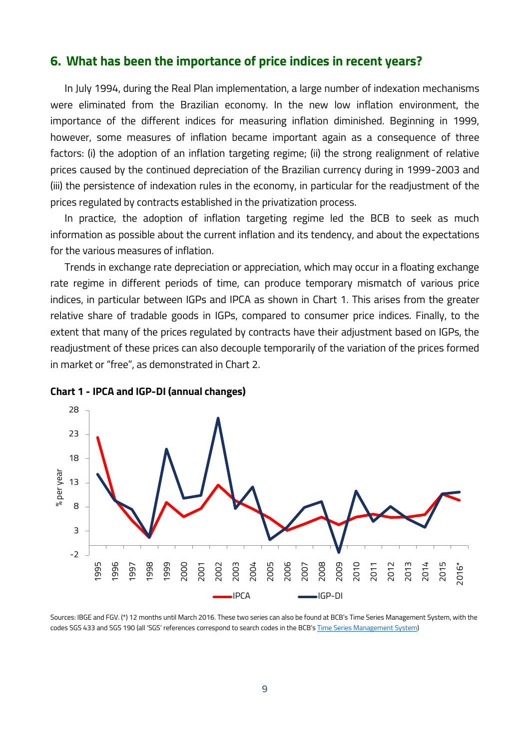### **6. What has been the importance of price indices in recent years?**

In July 1994, during the Real Plan implementation, a large number of indexation mechanisms were eliminated from the Brazilian economy. In the new low inflation environment, the importance of the different indices for measuring inflation diminished. Beginning in 1999, however, some measures of inflation became important again as a consequence of three factors: (i) the adoption of an inflation targeting regime; (ii) the strong realignment of relative prices caused by the continued depreciation of the Brazilian currency during in 1999-2003 and (iii) the persistence of indexation rules in the economy, in particular for the readjustment of the prices regulated by contracts established in the privatization process.

In practice, the adoption of inflation targeting regime led the BCB to seek as much information as possible about the current inflation and its tendency, and about the expectations for the various measures of inflation.

Trends in exchange rate depreciation or appreciation, which may occur in a floating exchange rate regime in different periods of time, can produce temporary mismatch of various price indices, in particular between IGPs and IPCA as shown in [Chart 1.](#page-8-0) This arises from the greater relative share of tradable goods in IGPs, compared to consumer price indices. Finally, to the extent that many of the prices regulated by contracts have their adjustment based on IGPs, the readjustment of these prices can also decouple temporarily of the variation of the prices formed in market or "free", as demonstrated in Chart 2.



<span id="page-8-0"></span>

Sources: IBGE and FGV. (\*) 12 months until March 2016. These two series can also be found at BCB's [Time Series Management System,](https://www3.bcb.gov.br/sgspub/localizarseries/localizarSeries.do?method=prepararTelaLocalizarSeries) with the codes SGS 433 and SGS 190 (all 'SGS' references correspond to search codes in the BCB's [Time Series Management System\)](https://www3.bcb.gov.br/sgspub/localizarseries/localizarSeries.do?method=prepararTelaLocalizarSeries)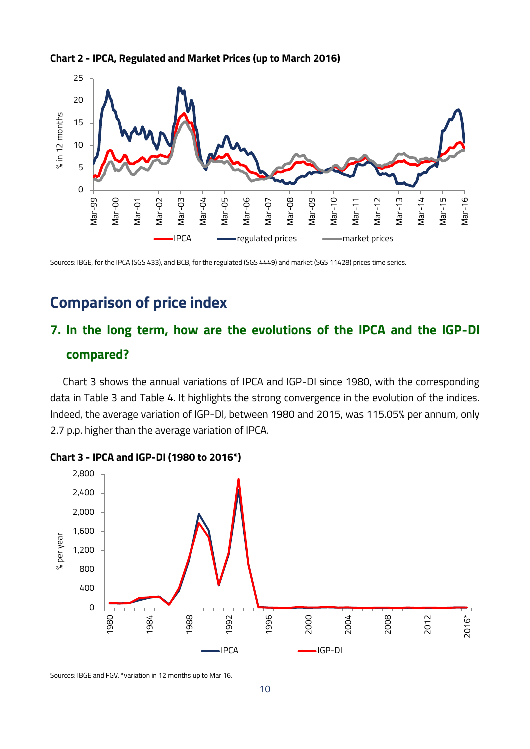



Sources: IBGE, for the IPCA (SGS 433), and BCB, for the regulated (SGS 4449) and market (SGS 11428) prices time series.

# **Comparison of price index**

# **7. In the long term, how are the evolutions of the IPCA and the IGP-DI compared?**

Chart 3 shows the annual variations of IPCA and IGP-DI since 1980, with the corresponding data in [Table 3](#page-10-0) and [Table 4.](#page-10-1) It highlights the strong convergence in the evolution of the indices. Indeed, the average variation of IGP-DI, between 1980 and 2015, was 115.05% per annum, only 2.7 p.p. higher than the average variation of IPCA.





Sources: IBGE and FGV. \*variation in 12 months up to Mar 16.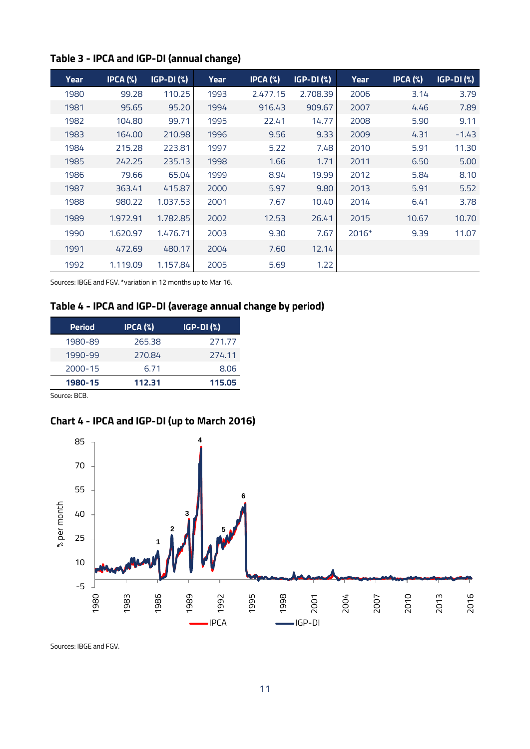| <b>Year</b> | $IPCA$ (%) | <b>IGP-DI (%)</b> | <b>Year</b> | IPCA (%) | $IGP-DI$ $%$ | <b>Year</b> | $IPCA$ (%) | <b>IGP-DI (%)</b> |
|-------------|------------|-------------------|-------------|----------|--------------|-------------|------------|-------------------|
| 1980        | 99.28      | 110.25            | 1993        | 2.477.15 | 2.708.39     | 2006        | 3.14       | 3.79              |
| 1981        | 95.65      | 95.20             | 1994        | 916.43   | 909.67       | 2007        | 4.46       | 7.89              |
| 1982        | 104.80     | 99.71             | 1995        | 22.41    | 14.77        | 2008        | 5.90       | 9.11              |
| 1983        | 164.00     | 210.98            | 1996        | 9.56     | 9.33         | 2009        | 4.31       | $-1.43$           |
| 1984        | 215.28     | 223.81            | 1997        | 5.22     | 7.48         | 2010        | 5.91       | 11.30             |
| 1985        | 242.25     | 235.13            | 1998        | 1.66     | 1.71         | 2011        | 6.50       | 5.00              |
| 1986        | 79.66      | 65.04             | 1999        | 8.94     | 19.99        | 2012        | 5.84       | 8.10              |
| 1987        | 363.41     | 415.87            | 2000        | 5.97     | 9.80         | 2013        | 5.91       | 5.52              |
| 1988        | 980.22     | 1.037.53          | 2001        | 7.67     | 10.40        | 2014        | 6.41       | 3.78              |
| 1989        | 1.972.91   | 1.782.85          | 2002        | 12.53    | 26.41        | 2015        | 10.67      | 10.70             |
| 1990        | 1.620.97   | 1.476.71          | 2003        | 9.30     | 7.67         | 2016*       | 9.39       | 11.07             |
| 1991        | 472.69     | 480.17            | 2004        | 7.60     | 12.14        |             |            |                   |
| 1992        | 1.119.09   | 1.157.84          | 2005        | 5.69     | 1.22         |             |            |                   |

# <span id="page-10-0"></span>**Table 3 - IPCA and IGP-DI (annual change)**

<span id="page-10-1"></span>Sources: IBGE and FGV. \*variation in 12 months up to Mar 16.

# **Table 4 - IPCA and IGP-DI (average annual change by period)**

| <b>Period</b> | $IPCA$ $(*)$ | $IGP-DI$ $(\%)$ |
|---------------|--------------|-----------------|
| 1980-89       | 265.38       | 271.77          |
| 1990-99       | 270.84       | 274.11          |
| 2000-15       | 6.71         | 8.06            |
| 1980-15       | 112.31       | 115.05          |

Source: BCB.

# <span id="page-10-2"></span>**Chart 4 - IPCA and IGP-DI (up to March 2016)**



Sources: IBGE and FGV.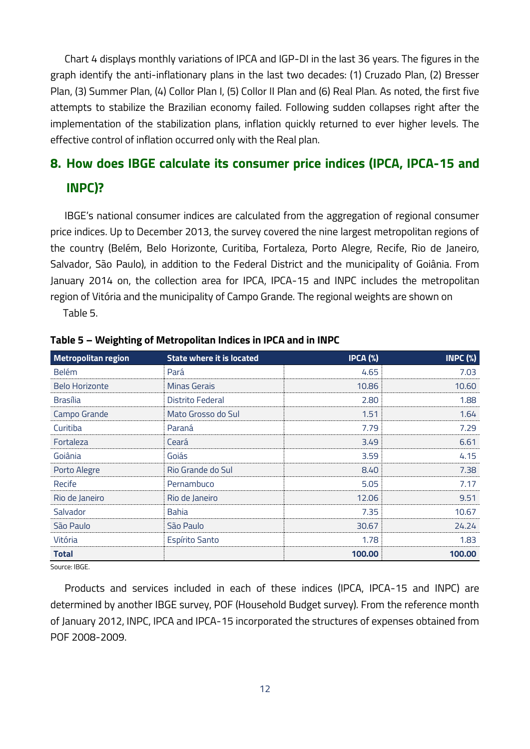[Chart 4](#page-10-2) displays monthly variations of IPCA and IGP-DI in the last 36 years. The figures in the graph identify the anti-inflationary plans in the last two decades: (1) Cruzado Plan, (2) Bresser Plan, (3) Summer Plan, (4) Collor Plan I, (5) Collor II Plan and (6) Real Plan. As noted, the first five attempts to stabilize the Brazilian economy failed. Following sudden collapses right after the implementation of the stabilization plans, inflation quickly returned to ever higher levels. The effective control of inflation occurred only with the Real plan.

# **8. How does IBGE calculate its consumer price indices (IPCA, IPCA-15 and INPC)?**

IBGE's national consumer indices are calculated from the aggregation of regional consumer price indices. Up to December 2013, the survey covered the nine largest metropolitan regions of the country (Belém, Belo Horizonte, Curitiba, Fortaleza, Porto Alegre, Recife, Rio de Janeiro, Salvador, São Paulo), in addition to the Federal District and the municipality of Goiânia. From January 2014 on, the collection area for IPCA, IPCA-15 and INPC includes the metropolitan region of Vitória and the municipality of Campo Grande. The regional weights are shown on [Table 5.](#page-11-0)

<span id="page-11-0"></span>

| <b>Metropolitan region</b> | <b>State where it is located</b> | IPCA (%) | INPC $(\%)$ |
|----------------------------|----------------------------------|----------|-------------|
| <b>Belém</b>               | Pará                             | 4.65     | 7.03        |
| <b>Belo Horizonte</b>      | <b>Minas Gerais</b>              | 10.86    | 10.60       |
| <b>Brasília</b>            | Distrito Federal                 | 2.80     | 1.88        |
| Campo Grande               | Mato Grosso do Sul               | 1.51     | 1.64        |
| Curitiba                   | Paraná                           | 7.79     | 7.29        |
| Fortaleza                  | Ceará                            | 3.49     | 6.61        |
| Goiânia                    | Goiás                            | 3.59     | 4.15        |
| Porto Alegre               | Rio Grande do Sul                | 8.40     | 7.38        |
| Recife                     | Pernambuco                       | 5.05     | 7.17        |
| Rio de Janeiro             | Rio de Janeiro                   | 12.06    | 9.51        |
| Salvador                   | <b>Bahia</b>                     | 7.35     | 10.67       |
| São Paulo                  | São Paulo                        | 30.67    | 24.24       |
| Vitória                    | <b>Espírito Santo</b>            | 1.78     | 1.83        |
| <b>Total</b>               |                                  | 100.00   | 100.00      |

#### **Table 5 – Weighting of Metropolitan Indices in IPCA and in INPC**

Source: IBGE.

Products and services included in each of these indices (IPCA, IPCA-15 and INPC) are determined by another IBGE survey, POF (Household Budget survey). From the reference month of January 2012, INPC, IPCA and IPCA-15 incorporated the structures of expenses obtained from POF 2008-2009.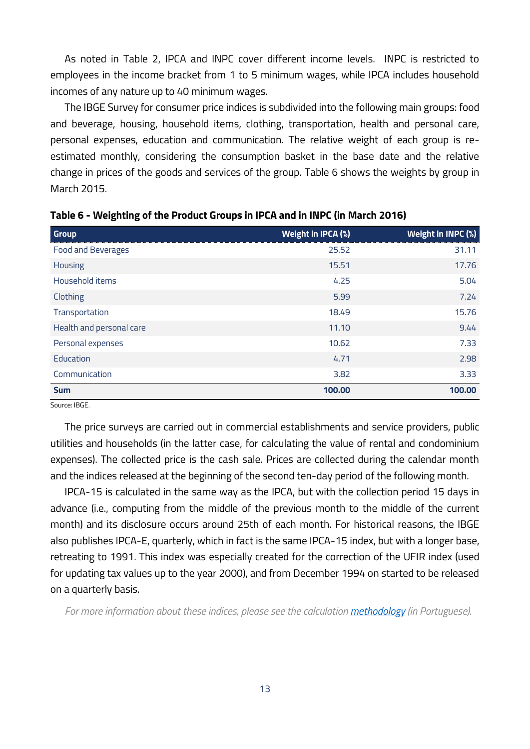As noted in [Table 2,](#page-6-0) IPCA and INPC cover different income levels. INPC is restricted to employees in the income bracket from 1 to 5 minimum wages, while IPCA includes household incomes of any nature up to 40 minimum wages.

The IBGE Survey for consumer price indices is subdivided into the following main groups: food and beverage, housing, household items, clothing, transportation, health and personal care, personal expenses, education and communication. The relative weight of each group is reestimated monthly, considering the consumption basket in the base date and the relative change in prices of the goods and services of the group. [Table 6](#page-12-0) shows the weights by group in March 2015.

| <b>Group</b>              | Weight in IPCA (%) | Weight in INPC (%) |
|---------------------------|--------------------|--------------------|
| <b>Food and Beverages</b> | 25.52              | 31.11              |
| Housing                   | 15.51              | 17.76              |
| Household items           | 4.25               | 5.04               |
| Clothing                  | 5.99               | 7.24               |
| Transportation            | 18.49              | 15.76              |
| Health and personal care  | 11.10              | 9.44               |
| Personal expenses         | 10.62              | 7.33               |
| Education                 | 4.71               | 2.98               |
| Communication             | 3.82               | 3.33               |
| <b>Sum</b>                | 100,00             | 100,00             |

<span id="page-12-0"></span>**Table 6 - Weighting of the Product Groups in IPCA and in INPC (in March 2016)**

Source: IBGE.

The price surveys are carried out in commercial establishments and service providers, public utilities and households (in the latter case, for calculating the value of rental and condominium expenses). The collected price is the cash sale. Prices are collected during the calendar month and the indices released at the beginning of the second ten-day period of the following month.

IPCA-15 is calculated in the same way as the IPCA, but with the collection period 15 days in advance (i.e., computing from the middle of the previous month to the middle of the current month) and its disclosure occurs around 25th of each month. For historical reasons, the IBGE also publishes IPCA-E, quarterly, which in fact is the same IPCA-15 index, but with a longer base, retreating to 1991. This index was especially created for the correction of the UFIR index (used for updating tax values up to the year 2000), and from December 1994 on started to be released on a quarterly basis.

*For more information about these indices, please see the calculation [methodology](ftp://ftp.ibge.gov.br/Precos_Indices_de_Precos_ao_Consumidor/Sistema_de_Indices_de_Precos_ao_Consumidor/Metodos_de_calculo/2013_08_27_srm_calculo_7ed.zip) (in Portuguese).*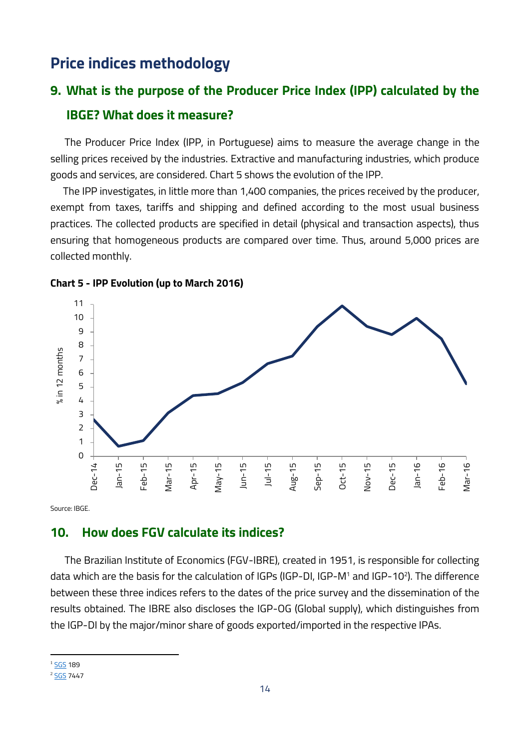# **Price indices methodology**

# **9. What is the purpose of the Producer Price Index (IPP) calculated by the IBGE? What does it measure?**

The Producer Price Index (IPP, in Portuguese) aims to measure the average change in the selling prices received by the industries. Extractive and manufacturing industries, which produce goods and services, are considered. [Chart 5](#page-13-0) shows the evolution of the IPP.

The IPP investigates, in little more than 1,400 companies, the prices received by the producer, exempt from taxes, tariffs and shipping and defined according to the most usual business practices. The collected products are specified in detail (physical and transaction aspects), thus ensuring that homogeneous products are compared over time. Thus, around 5,000 prices are collected monthly.



<span id="page-13-0"></span>

Source: IBGE.

# **10. How does FGV calculate its indices?**

The Brazilian Institute of Economics (FGV-IBRE), created in 1951, is responsible for collecting data which are the basis for the calculation of IGPs (IGP-DI, IGP-M<sup>1</sup> and IGP-10<sup>2</sup> ). The difference between these three indices refers to the dates of the price survey and the dissemination of the results obtained. The IBRE also discloses the IGP-OG (Global supply), which distinguishes from the IGP-DI by the major/minor share of goods exported/imported in the respective IPAs.

**.** 

<sup>&</sup>lt;sup>1</sup> [SGS](https://www3.bcb.gov.br/sgspub/localizarseries/localizarSeries.do?method=prepararTelaLocalizarSeries) 189

<sup>&</sup>lt;sup>2</sup> [SGS](https://www3.bcb.gov.br/sgspub/localizarseries/localizarSeries.do?method=prepararTelaLocalizarSeries) 7447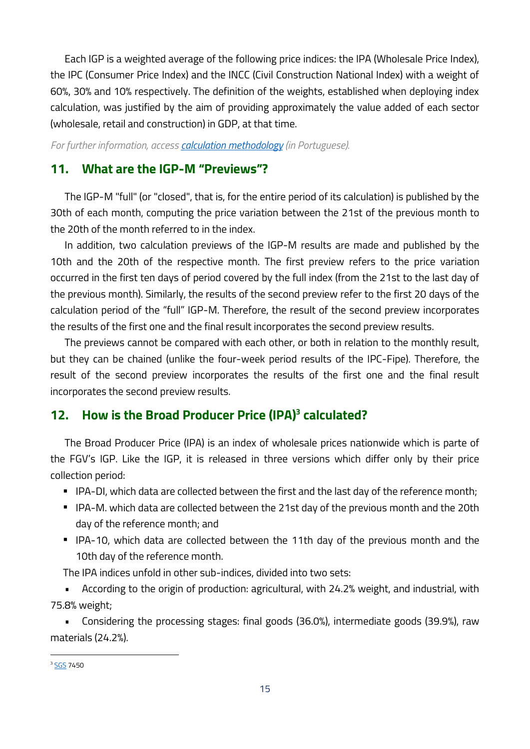Each IGP is a weighted average of the following price indices: the IPA (Wholesale Price Index), the IPC (Consumer Price Index) and the INCC (Civil Construction National Index) with a weight of 60%, 30% and 10% respectively. The definition of the weights, established when deploying index calculation, was justified by the aim of providing approximately the value added of each sector (wholesale, retail and construction) in GDP, at that time.

*For further information, access [calculation methodology](http://portalibre.fgv.br/main.jsp?lumChannelId=402880811D8E34B9011D92B6B6420E96) (in Portuguese).*

# **11. What are the IGP-M "Previews"?**

The IGP-M "full" (or "closed", that is, for the entire period of its calculation) is published by the 30th of each month, computing the price variation between the 21st of the previous month to the 20th of the month referred to in the index.

In addition, two calculation previews of the IGP-M results are made and published by the 10th and the 20th of the respective month. The first preview refers to the price variation occurred in the first ten days of period covered by the full index (from the 21st to the last day of the previous month). Similarly, the results of the second preview refer to the first 20 days of the calculation period of the "full" IGP-M. Therefore, the result of the second preview incorporates the results of the first one and the final result incorporates the second preview results.

The previews cannot be compared with each other, or both in relation to the monthly result, but they can be chained (unlike the four-week period results of the IPC-Fipe). Therefore, the result of the second preview incorporates the results of the first one and the final result incorporates the second preview results.

# **12. How is the Broad Producer Price (IPA) 3 calculated?**

The Broad Producer Price (IPA) is an index of wholesale prices nationwide which is parte of the FGV's IGP. Like the IGP, it is released in three versions which differ only by their price collection period:

- IPA-DI, which data are collected between the first and the last day of the reference month;
- IPA-M. which data are collected between the 21st day of the previous month and the 20th day of the reference month; and
- IPA-10, which data are collected between the 11th day of the previous month and the 10th day of the reference month.

The IPA indices unfold in other sub-indices, divided into two sets:

• According to the origin of production: agricultural, with 24.2% weight, and industrial, with 75.8% weight;

• Considering the processing stages: final goods (36.0%), intermediate goods (39.9%), raw materials (24.2%).

 $\overline{\phantom{a}}$ 

<sup>&</sup>lt;sup>3</sup> [SGS](https://www3.bcb.gov.br/sgspub/localizarseries/localizarSeries.do?method=prepararTelaLocalizarSeries) 7450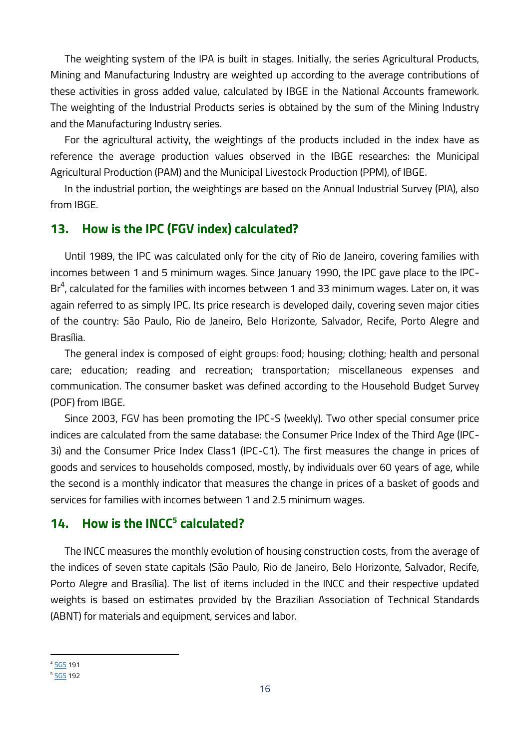The weighting system of the IPA is built in stages. Initially, the series Agricultural Products, Mining and Manufacturing Industry are weighted up according to the average contributions of these activities in gross added value, calculated by IBGE in the National Accounts framework. The weighting of the Industrial Products series is obtained by the sum of the Mining Industry and the Manufacturing Industry series.

For the agricultural activity, the weightings of the products included in the index have as reference the average production values observed in the IBGE researches: the Municipal Agricultural Production (PAM) and the Municipal Livestock Production (PPM), of IBGE.

In the industrial portion, the weightings are based on the Annual Industrial Survey (PIA), also from IBGE.

# **13. How is the IPC (FGV index) calculated?**

Until 1989, the IPC was calculated only for the city of Rio de Janeiro, covering families with incomes between 1 and 5 minimum wages. Since January 1990, the IPC gave place to the IPC-Br $^4$ , calculated for the families with incomes between 1 and 33 minimum wages. Later on, it was again referred to as simply IPC. Its price research is developed daily, covering seven major cities of the country: São Paulo, Rio de Janeiro, Belo Horizonte, Salvador, Recife, Porto Alegre and Brasília.

The general index is composed of eight groups: food; housing; clothing; health and personal care; education; reading and recreation; transportation; miscellaneous expenses and communication. The consumer basket was defined according to the Household Budget Survey (POF) from IBGE.

Since 2003, FGV has been promoting the IPC-S (weekly). Two other special consumer price indices are calculated from the same database: the Consumer Price Index of the Third Age (IPC-3i) and the Consumer Price Index Class1 (IPC-C1). The first measures the change in prices of goods and services to households composed, mostly, by individuals over 60 years of age, while the second is a monthly indicator that measures the change in prices of a basket of goods and services for families with incomes between 1 and 2.5 minimum wages.

# **14. How is the INCC<sup>5</sup> calculated?**

The INCC measures the monthly evolution of housing construction costs, from the average of the indices of seven state capitals (São Paulo, Rio de Janeiro, Belo Horizonte, Salvador, Recife, Porto Alegre and Brasília). The list of items included in the INCC and their respective updated weights is based on estimates provided by the Brazilian Association of Technical Standards (ABNT) for materials and equipment, services and labor.

**.** 

<sup>&</sup>lt;sup>4</sup> [SGS](https://www3.bcb.gov.br/sgspub/localizarseries/localizarSeries.do?method=prepararTelaLocalizarSeries) 191

<sup>&</sup>lt;sup>5</sup> [SGS](https://www3.bcb.gov.br/sgspub/localizarseries/localizarSeries.do?method=prepararTelaLocalizarSeries) 192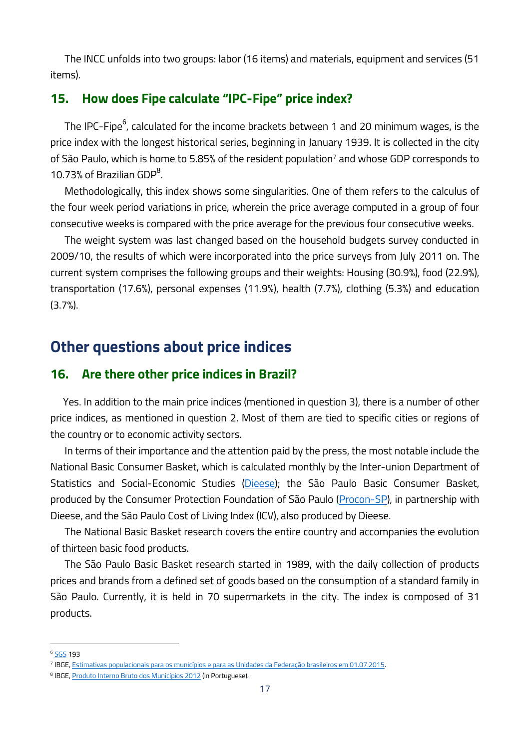The INCC unfolds into two groups: labor (16 items) and materials, equipment and services (51 items).

# **15. How does Fipe calculate "IPC-Fipe" price index?**

The IPC-Fipe $^6$ , calculated for the income brackets between 1 and 20 minimum wages, is the price index with the longest historical series, beginning in January 1939. It is collected in the city of São Paulo, which is home to 5.85% of the resident population<sup>7</sup> and whose GDP corresponds to 10.73% of Brazilian GDP<sup>8</sup>.

Methodologically, this index shows some singularities. One of them refers to the calculus of the four week period variations in price, wherein the price average computed in a group of four consecutive weeks is compared with the price average for the previous four consecutive weeks.

The weight system was last changed based on the household budgets survey conducted in 2009/10, the results of which were incorporated into the price surveys from July 2011 on. The current system comprises the following groups and their weights: Housing (30.9%), food (22.9%), transportation (17.6%), personal expenses (11.9%), health (7.7%), clothing (5.3%) and education (3.7%).

# **Other questions about price indices**

# **16. Are there other price indices in Brazil?**

Yes. In addition to the main price indices (mentioned in question [3\)](#page-5-1), there is a number of other price indices, as mentioned in question [2.](#page-5-2) Most of them are tied to specific cities or regions of the country or to economic activity sectors.

In terms of their importance and the attention paid by the press, the most notable include the National Basic Consumer Basket, which is calculated monthly by the Inter-union Department of Statistics and Social-Economic Studies [\(Dieese\)](http://www.dieese.org.br/); the São Paulo Basic Consumer Basket, produced by the Consumer Protection Foundation of São Paulo [\(Procon-SP\)](http://www.procon.sp.gov.br/), in partnership with Dieese, and the São Paulo Cost of Living Index (ICV), also produced by Dieese.

The National Basic Basket research covers the entire country and accompanies the evolution of thirteen basic food products.

The São Paulo Basic Basket research started in 1989, with the daily collection of products prices and brands from a defined set of goods based on the consumption of a standard family in São Paulo. Currently, it is held in 70 supermarkets in the city. The index is composed of 31 products.

 $\overline{\phantom{a}}$ 

<sup>6</sup> [SGS](https://www3.bcb.gov.br/sgspub/localizarseries/localizarSeries.do?method=prepararTelaLocalizarSeries) 193

<sup>7</sup> IBGE[, Estimativas populacionais para os municípios e para as Unidades da Federação brasileiros em 01.07.2015.](http://www.ibge.gov.br/home/estatistica/populacao/estimativa2015/estimativa_dou.shtm)

<sup>&</sup>lt;sup>8</sup> IBGE, <u>Produto Interno Bruto dos Municípios 2012</u> (in Portuguese).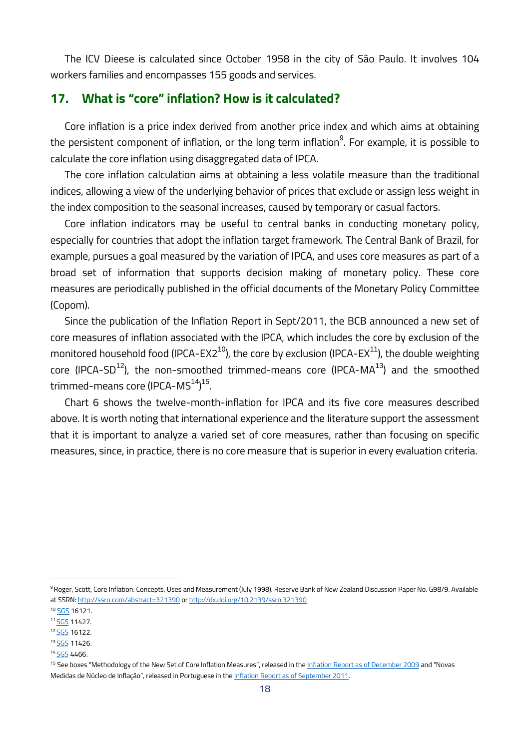The ICV Dieese is calculated since October 1958 in the city of São Paulo. It involves 104 workers families and encompasses 155 goods and services.

# **17. What is "core" inflation? How is it calculated?**

Core inflation is a price index derived from another price index and which aims at obtaining the persistent component of inflation, or the long term inflation $^9$ . For example, it is possible to calculate the core inflation using disaggregated data of IPCA.

The core inflation calculation aims at obtaining a less volatile measure than the traditional indices, allowing a view of the underlying behavior of prices that exclude or assign less weight in the index composition to the seasonal increases, caused by temporary or casual factors.

Core inflation indicators may be useful to central banks in conducting monetary policy, especially for countries that adopt the inflation target framework. The Central Bank of Brazil, for example, pursues a goal measured by the variation of IPCA, and uses core measures as part of a broad set of information that supports decision making of monetary policy. These core measures are periodically published in the official documents of the Monetary Policy Committee (Copom).

Since the publication of the Inflation Report in Sept/2011, the BCB announced a new set of core measures of inflation associated with the IPCA, which includes the core by exclusion of the monitored household food (IPCA-EX2<sup>10</sup>), the core by exclusion (IPCA-EX<sup>11</sup>), the double weighting core (IPCA-SD<sup>12</sup>), the non-smoothed trimmed-means core (IPCA-MA<sup>13</sup>) and the smoothed trimmed-means core (IPCA-MS<sup>14</sup>)<sup>15</sup>.

Chart 6 shows the twelve-month-inflation for IPCA and its five core measures described above. It is worth noting that international experience and the literature support the assessment that it is important to analyze a varied set of core measures, rather than focusing on specific measures, since, in practice, there is no core measure that is superior in every evaluation criteria.

**.** 

<sup>9</sup> Roger, Scott, Core Inflation: Concepts, Uses and Measurement (July 1998). Reserve Bank of New Zealand Discussion Paper No. G98/9. Available at SSRN: http://ssrn.com/abstract=321390 or http://dx.doi.org/10.2139/ssrn.321390

<sup>10</sup> [SGS](https://www3.bcb.gov.br/sgspub/localizarseries/localizarSeries.do?method=prepararTelaLocalizarSeries) 16121.

<sup>11</sup> [SGS](https://www3.bcb.gov.br/sgspub/localizarseries/localizarSeries.do?method=prepararTelaLocalizarSeries) 11427.

<sup>12</sup> [SGS](https://www3.bcb.gov.br/sgspub/localizarseries/localizarSeries.do?method=prepararTelaLocalizarSeries) 16122.

<sup>13</sup> **[SGS](https://www3.bcb.gov.br/sgspub/localizarseries/localizarSeries.do?method=prepararTelaLocalizarSeries)** 11426.

<sup>14</sup> [SGS](https://www3.bcb.gov.br/sgspub/localizarseries/localizarSeries.do?method=prepararTelaLocalizarSeries) 4466.

<sup>&</sup>lt;sup>15</sup> See boxes "Methodology of the New Set of Core Inflation Measures", released in the [Inflation Report as of December 2009](http://www.bcb.gov.br/htms/relinf/ing/2009/12/ri200912b7i.pdf) and "Novas Medidas de Núcleo de Inflação", released in Portuguese in the [Inflation Report as of September 2011.](http://www.bcb.gov.br/htms/relinf/port/2011/09/ri201109b6p.pdf)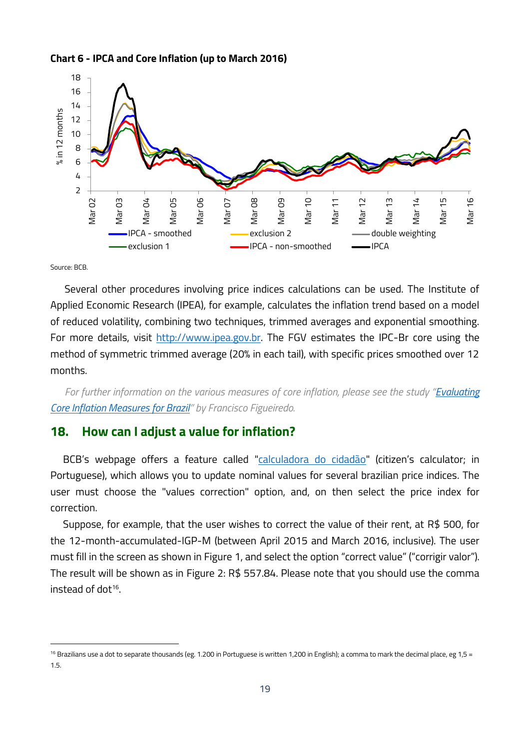



Source: BCB.

**.** 

Several other procedures involving price indices calculations can be used. The Institute of Applied Economic Research (IPEA), for example, calculates the inflation trend based on a model of reduced volatility, combining two techniques, trimmed averages and exponential smoothing. For more details, visit [http://www.ipea.gov.br.](http://www.ipea.gov.br/) The FGV estimates the IPC-Br core using the method of symmetric trimmed average (20% in each tail), with specific prices smoothed over 12 months.

*For further information on the various measures of core inflation, please see the study "[Evaluating](http://www.bcb.gov.br/pec/wps/ingl/wps14.pdf)  [Core Inflation Measures for Brazil](http://www.bcb.gov.br/pec/wps/ingl/wps14.pdf)" by Francisco Figueiredo.*

## **18. How can I adjust a value for inflation?**

BCB's webpage offers a feature called ["calculadora do cidadão"](http://www.bcb.gov.br/?calculadora) (citizen's calculator; in Portuguese), which allows you to update nominal values for several brazilian price indices. The user must choose the "values correction" option, and, on then select the price index for correction.

Suppose, for example, that the user wishes to correct the value of their rent, at R\$ 500, for the 12-month-accumulated-IGP-M (between April 2015 and March 2016, inclusive). The user must fill in the screen as shown in Figure 1, and select the option "correct value" ("corrigir valor"). The result will be shown as in [Figure 2:](#page-19-0) R\$ 557.84. Please note that you should use the comma instead of dot<sup>16</sup>.

<sup>&</sup>lt;sup>16</sup> Brazilians use a dot to separate thousands (eg. 1.200 in Portuguese is written 1,200 in English); a comma to mark the decimal place, eg 1,5 = 1.5.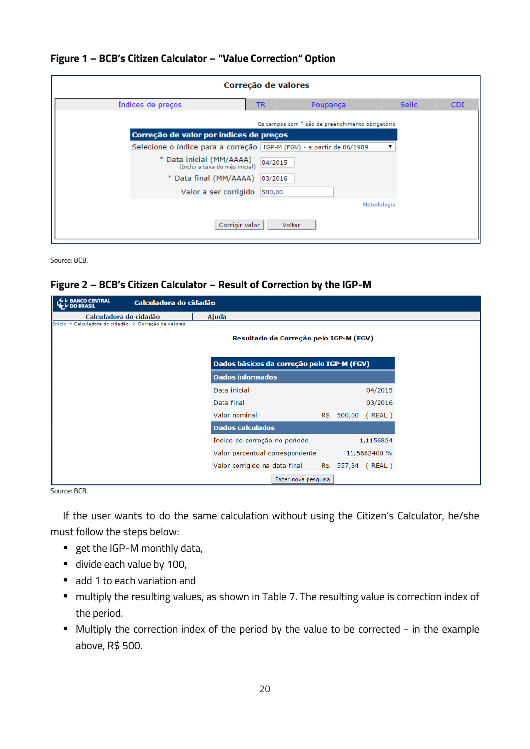#### **Figure 1 – BCB's Citizen Calculator – "Value Correction" Option**

| Correção de valores |                                                                        |           |                                                  |              |            |  |
|---------------------|------------------------------------------------------------------------|-----------|--------------------------------------------------|--------------|------------|--|
|                     | Indices de preços                                                      | <b>TR</b> | Poupança                                         | <b>Selic</b> | <b>CDI</b> |  |
|                     |                                                                        |           | Os campos com * são de preenchimento obrigatório |              |            |  |
|                     | Correção de valor por índices de preços                                |           |                                                  |              |            |  |
|                     | Selecione o índice para a correção   IGP-M (FGV) - a partir de 06/1989 |           |                                                  |              |            |  |
|                     | * Data inicial (MM/AAAA)<br>(Inclui a taxa do mês inicial)             | 04/2015   |                                                  |              |            |  |
|                     | * Data final (MM/AAAA)                                                 | 03/2016   |                                                  |              |            |  |
|                     | Valor a ser corrigido                                                  | 500,00    |                                                  |              |            |  |
|                     |                                                                        |           |                                                  | Metodologia  |            |  |
|                     | Corrigir valor                                                         |           | Voltar                                           |              |            |  |

Source: BCB.

#### <span id="page-19-0"></span>**Figure 2 – BCB's Citizen Calculator – Result of Correction by the IGP-M**

| <b>BANCO CENTRAL</b>                                  | Calculadora do cidadão        |                                                 |                      |
|-------------------------------------------------------|-------------------------------|-------------------------------------------------|----------------------|
| Calculadora do cidadão                                | Ajuda                         |                                                 |                      |
| Início » Calculadora do cidadão » Correção de valores |                               | Resultado da Correção pelo IGP-M (FGV)          |                      |
|                                                       |                               | Dados básicos da correção pelo IGP-M (FGV)      |                      |
|                                                       | <b>Dados informados</b>       |                                                 |                      |
|                                                       | Data inicial                  |                                                 | 04/2015              |
|                                                       | Data final                    |                                                 | 03/2016              |
|                                                       | Valor nominal                 |                                                 | R\$ 500,00<br>(REAL) |
|                                                       | <b>Dados calculados</b>       |                                                 |                      |
|                                                       | Indice de correção no período |                                                 | 1,1156824            |
|                                                       |                               | Valor percentual correspondente                 | 11,5682400 %         |
|                                                       |                               | Valor corrigido na data final R\$ 557,84 (REAL) |                      |
|                                                       |                               | Fazer nova pesquisa                             |                      |

Source: BCB.

If the user wants to do the same calculation without using the Citizen's Calculator, he/she must follow the steps below:

- get the IGP-M monthly data,
- divide each value by 100,
- add 1 to each variation and
- multiply the resulting values, as shown in Table 7. The resulting value is correction index of the period.
- Multiply the correction index of the period by the value to be corrected in the example above, R\$ 500.